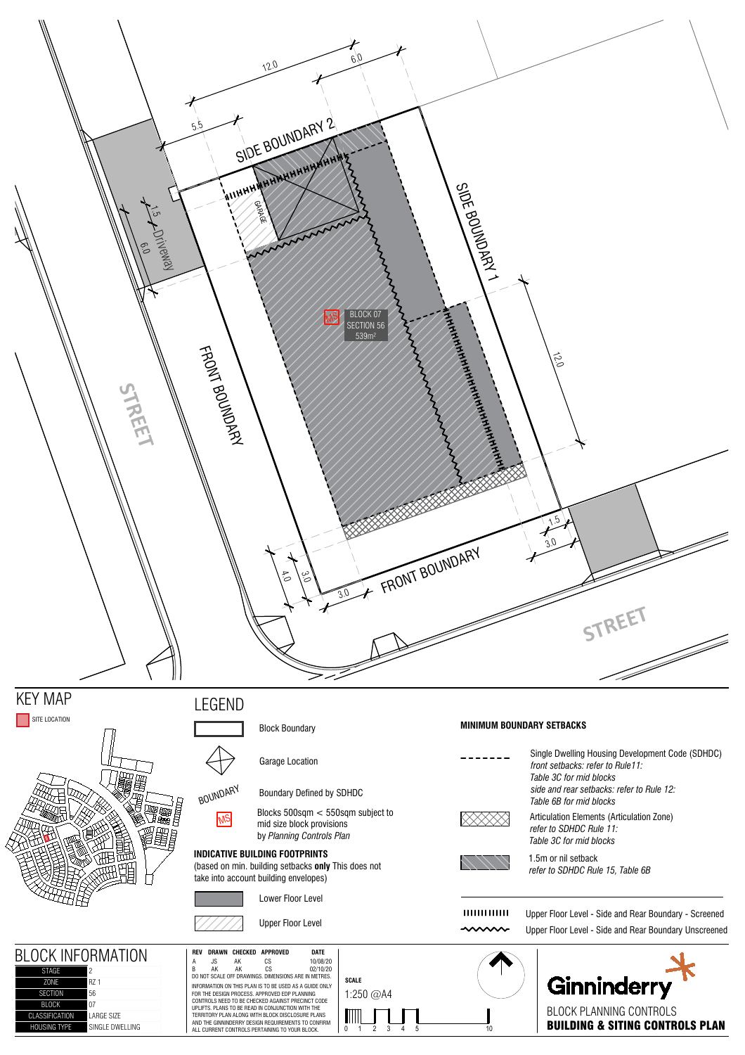